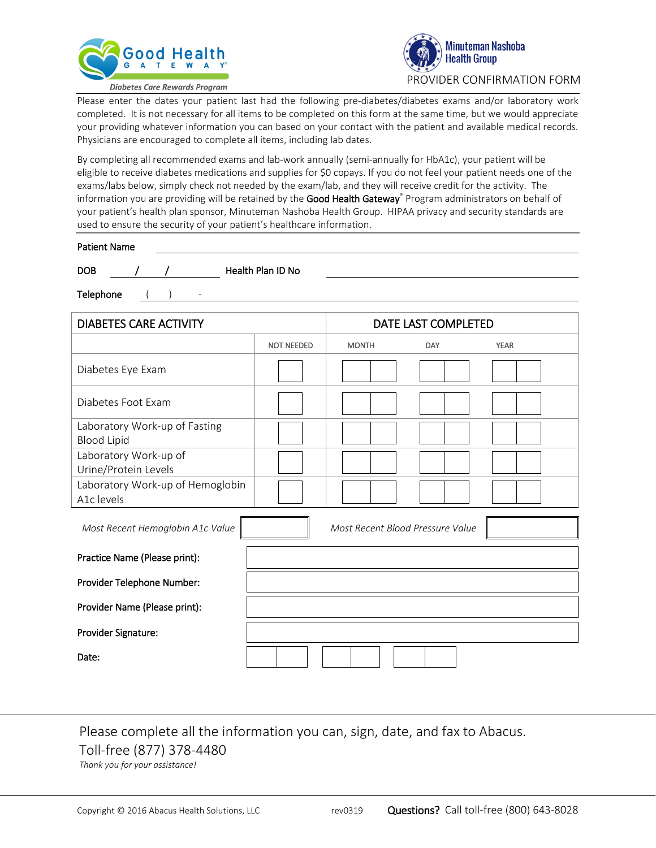



Please enter the dates your patient last had the following pre-diabetes/diabetes exams and/or laboratory work completed. It is not necessary for all items to be completed on this form at the same time, but we would appreciate your providing whatever information you can based on your contact with the patient and available medical records. Physicians are encouraged to complete all items, including lab dates.

By completing all recommended exams and lab-work annually (semi-annually for HbA1c), your patient will be eligible to receive diabetes medications and supplies for \$0 copays. If you do not feel your patient needs one of the exams/labs below, simply check not needed by the exam/lab, and they will receive credit for the activity. The information you are providing will be retained by the Good Health Gateway® Program administrators on behalf of your patient's health plan sponsor, Minuteman Nashoba Health Group. HIPAA privacy and security standards are used to ensure the security of your patient's healthcare information.

| <b>Patient Name</b> |  |  |                   |  |
|---------------------|--|--|-------------------|--|
| <b>DOB</b>          |  |  | Health Plan ID No |  |

Telephone ( ) -

| <b>DIABETES CARE ACTIVITY</b>                       |                   | DATE LAST COMPLETED              |     |             |
|-----------------------------------------------------|-------------------|----------------------------------|-----|-------------|
|                                                     | <b>NOT NEEDED</b> | <b>MONTH</b>                     | DAY | <b>YEAR</b> |
| Diabetes Eye Exam                                   |                   |                                  |     |             |
| Diabetes Foot Exam                                  |                   |                                  |     |             |
| Laboratory Work-up of Fasting<br><b>Blood Lipid</b> |                   |                                  |     |             |
| Laboratory Work-up of<br>Urine/Protein Levels       |                   |                                  |     |             |
| Laboratory Work-up of Hemoglobin<br>A1c levels      |                   |                                  |     |             |
| Most Recent Hemoglobin A1c Value                    |                   | Most Recent Blood Pressure Value |     |             |
| Practice Name (Please print):                       |                   |                                  |     |             |
| Provider Telephone Number:                          |                   |                                  |     |             |
| Provider Name (Please print):                       |                   |                                  |     |             |
| Provider Signature:                                 |                   |                                  |     |             |
| Date:                                               |                   |                                  |     |             |

## Please complete all the information you can, sign, date, and fax to Abacus. Toll-free (877) 378-4480

*Thank you for your assistance!*